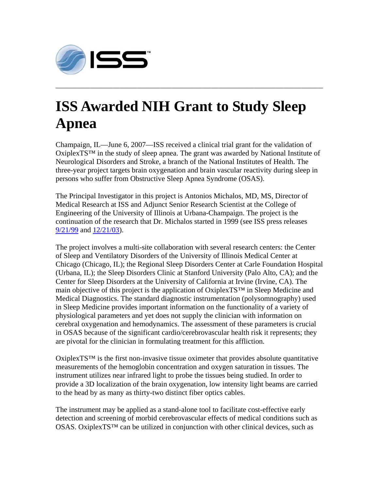

## **ISS Awarded NIH Grant to Study Sleep Apnea**

**\_\_\_\_\_\_\_\_\_\_\_\_\_\_\_\_\_\_\_\_\_\_\_\_\_\_\_\_\_\_\_\_\_\_\_\_\_\_\_\_\_\_\_\_\_\_\_\_\_\_\_\_\_\_\_\_\_\_\_\_\_\_\_\_\_\_\_\_\_\_\_\_\_\_\_\_\_\_\_\_\_\_\_\_\_\_\_\_\_\_\_\_\_\_\_\_\_\_\_\_\_\_\_\_\_\_\_\_** 

Champaign, IL—June 6, 2007—ISS received a clinical trial grant for the validation of OxiplexTS™ in the study of sleep apnea. The grant was awarded by National Institute of Neurological Disorders and Stroke, a branch of the National Institutes of Health. The three-year project targets brain oxygenation and brain vascular reactivity during sleep in persons who suffer from Obstructive Sleep Apnea Syndrome (OSAS).

The Principal Investigator in this project is Antonios Michalos, MD, MS, Director of Medical Research at ISS and Adjunct Senior Research Scientist at the College of Engineering of the University of Illinois at Urbana-Champaign. The project is the continuation of the research that Dr. Michalos started in 1999 (see ISS press releases 9/21/99 and 12/21/03).

The project involves a multi-site collaboration with several research centers: the Center of Sleep and Ventilatory Disorders of the University of Illinois Medical Center at Chicago (Chicago, IL); the Regional Sleep Disorders Center at Carle Foundation Hospital (Urbana, IL); the Sleep Disorders Clinic at Stanford University (Palo Alto, CA); and the Center for Sleep Disorders at the University of California at Irvine (Irvine, CA). The main objective of this project is the application of OxiplexTS™ in Sleep Medicine and Medical Diagnostics. The standard diagnostic instrumentation (polysomnography) used in Sleep Medicine provides important information on the functionality of a variety of physiological parameters and yet does not supply the clinician with information on cerebral oxygenation and hemodynamics. The assessment of these parameters is crucial in OSAS because of the significant cardio/cerebrovascular health risk it represents; they are pivotal for the clinician in formulating treatment for this affliction.

OxiplexTS<sup>™</sup> is the first non-invasive tissue oximeter that provides absolute quantitative measurements of the hemoglobin concentration and oxygen saturation in tissues. The instrument utilizes near infrared light to probe the tissues being studied. In order to provide a 3D localization of the brain oxygenation, low intensity light beams are carried to the head by as many as thirty-two distinct fiber optics cables.

The instrument may be applied as a stand-alone tool to facilitate cost-effective early detection and screening of morbid cerebrovascular effects of medical conditions such as  $OSAS$ . OxiplexTS<sup>™</sup> can be utilized in conjunction with other clinical devices, such as